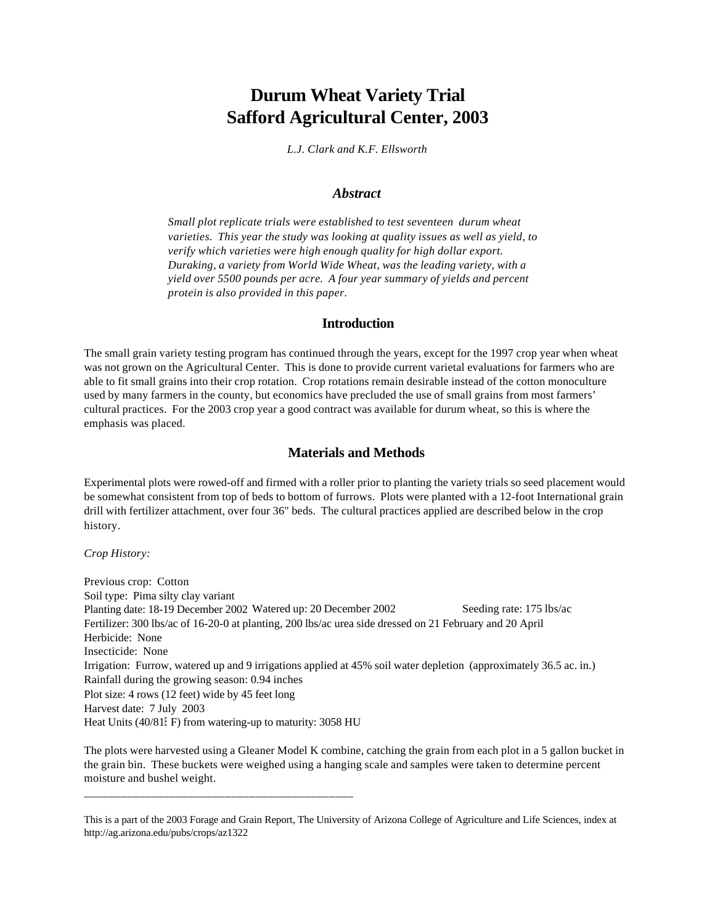# **Durum Wheat Variety Trial Safford Agricultural Center, 2003**

*L.J. Clark and K.F. Ellsworth*

#### *Abstract*

*Small plot replicate trials were established to test seventeen durum wheat varieties. This year the study was looking at quality issues as well as yield, to verify which varieties were high enough quality for high dollar export. Duraking, a variety from World Wide Wheat, was the leading variety, with a yield over 5500 pounds per acre. A four year summary of yields and percent protein is also provided in this paper.*

### **Introduction**

The small grain variety testing program has continued through the years, except for the 1997 crop year when wheat was not grown on the Agricultural Center. This is done to provide current varietal evaluations for farmers who are able to fit small grains into their crop rotation. Crop rotations remain desirable instead of the cotton monoculture used by many farmers in the county, but economics have precluded the use of small grains from most farmers' cultural practices. For the 2003 crop year a good contract was available for durum wheat, so this is where the emphasis was placed.

### **Materials and Methods**

Experimental plots were rowed-off and firmed with a roller prior to planting the variety trials so seed placement would be somewhat consistent from top of beds to bottom of furrows. Plots were planted with a 12-foot International grain drill with fertilizer attachment, over four 36" beds. The cultural practices applied are described below in the crop history.

*Crop History:*

Previous crop: Cotton Soil type: Pima silty clay variant Planting date: 18-19 December 2002 Watered up: 20 December 2002 Seeding rate: 175 lbs/ac Fertilizer: 300 lbs/ac of 16-20-0 at planting, 200 lbs/ac urea side dressed on 21 February and 20 April Herbicide: None Insecticide: None Irrigation: Furrow, watered up and 9 irrigations applied at 45% soil water depletion (approximately 36.5 ac. in.) Rainfall during the growing season: 0.94 inches Plot size: 4 rows (12 feet) wide by 45 feet long Harvest date: 7 July 2003 Heat Units (40/81EF) from watering-up to maturity: 3058 HU

The plots were harvested using a Gleaner Model K combine, catching the grain from each plot in a 5 gallon bucket in the grain bin. These buckets were weighed using a hanging scale and samples were taken to determine percent moisture and bushel weight.

\_\_\_\_\_\_\_\_\_\_\_\_\_\_\_\_\_\_\_\_\_\_\_\_\_\_\_\_\_\_\_\_\_\_\_\_\_\_\_\_\_\_\_\_

This is a part of the 2003 Forage and Grain Report, The University of Arizona College of Agriculture and Life Sciences, index at http://ag.arizona.edu/pubs/crops/az1322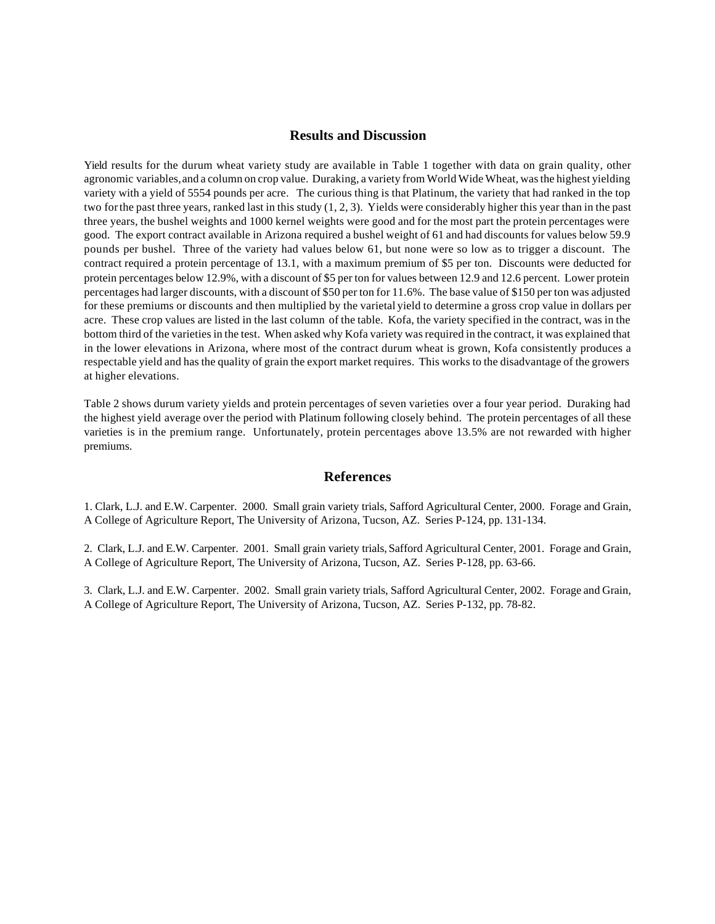### **Results and Discussion**

Yield results for the durum wheat variety study are available in Table 1 together with data on grain quality, other agronomic variables, and a column on crop value. Duraking, a variety from World Wide Wheat, was the highest yielding variety with a yield of 5554 pounds per acre. The curious thing is that Platinum, the variety that had ranked in the top two for the past three years, ranked last in this study (1, 2, 3). Yields were considerably higher this year than in the past three years, the bushel weights and 1000 kernel weights were good and for the most part the protein percentages were good. The export contract available in Arizona required a bushel weight of 61 and had discounts for values below 59.9 pounds per bushel. Three of the variety had values below 61, but none were so low as to trigger a discount. The contract required a protein percentage of 13.1, with a maximum premium of \$5 per ton. Discounts were deducted for protein percentages below 12.9%, with a discount of \$5 per ton for values between 12.9 and 12.6 percent. Lower protein percentages had larger discounts, with a discount of \$50 per ton for 11.6%. The base value of \$150 per ton was adjusted for these premiums or discounts and then multiplied by the varietal yield to determine a gross crop value in dollars per acre. These crop values are listed in the last column of the table. Kofa, the variety specified in the contract, was in the bottom third of the varieties in the test. When asked why Kofa variety was required in the contract, it was explained that in the lower elevations in Arizona, where most of the contract durum wheat is grown, Kofa consistently produces a respectable yield and has the quality of grain the export market requires. This works to the disadvantage of the growers at higher elevations.

Table 2 shows durum variety yields and protein percentages of seven varieties over a four year period. Duraking had the highest yield average over the period with Platinum following closely behind. The protein percentages of all these varieties is in the premium range. Unfortunately, protein percentages above 13.5% are not rewarded with higher premiums.

## **References**

1. Clark, L.J. and E.W. Carpenter. 2000. Small grain variety trials, Safford Agricultural Center, 2000. Forage and Grain, A College of Agriculture Report, The University of Arizona, Tucson, AZ. Series P-124, pp. 131-134.

2. Clark, L.J. and E.W. Carpenter. 2001. Small grain variety trials, Safford Agricultural Center, 2001. Forage and Grain, A College of Agriculture Report, The University of Arizona, Tucson, AZ. Series P-128, pp. 63-66.

3. Clark, L.J. and E.W. Carpenter. 2002. Small grain variety trials, Safford Agricultural Center, 2002. Forage and Grain, A College of Agriculture Report, The University of Arizona, Tucson, AZ. Series P-132, pp. 78-82.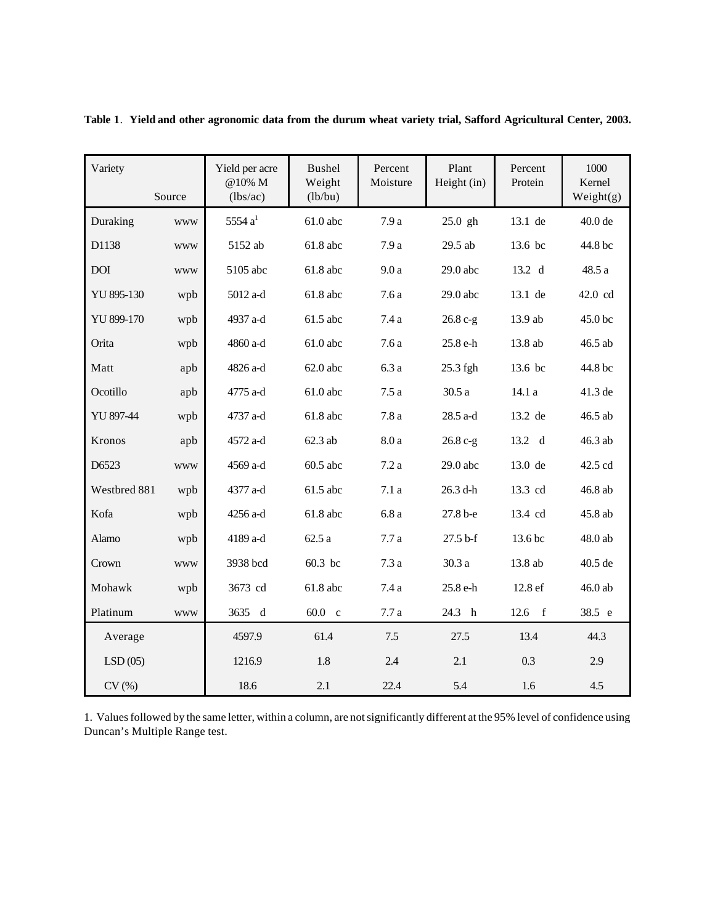| Variety      | Source     | Yield per acre<br>@10% M<br>(lbs/ac) | Bushel<br>Weight<br>(lb/bu) | Percent<br>Moisture | Plant<br>Height (in) | Percent<br>Protein | 1000<br>Kernel<br>Weight(g) |
|--------------|------------|--------------------------------------|-----------------------------|---------------------|----------------------|--------------------|-----------------------------|
| Duraking     | <b>WWW</b> | 5554 $a1$                            | $61.0$ abc                  | 7.9a                | 25.0 gh              | 13.1 de            | 40.0 de                     |
| D1138        | <b>WWW</b> | 5152 ab                              | 61.8 abc                    | 7.9a                | 29.5 ab              | 13.6 bc            | 44.8 bc                     |
| <b>DOI</b>   | <b>WWW</b> | 5105 abc                             | 61.8 abc                    | 9.0a                | 29.0 abc             | 13.2 d             | 48.5a                       |
| YU 895-130   | wpb        | 5012 a-d                             | 61.8 abc                    | $7.6\,\mathrm{a}$   | $29.0$ abc           | 13.1 de            | 42.0 cd                     |
| YU 899-170   | wpb        | 4937 a-d                             | 61.5 abc                    | 7.4a                | 26.8 c-g             | 13.9 ab            | 45.0 bc                     |
| Orita        | wpb        | 4860 a-d                             | 61.0 abc                    | 7.6a                | 25.8 e-h             | 13.8 ab            | 46.5 ab                     |
| Matt         | apb        | 4826 a-d                             | $62.0$ abc                  | 6.3a                | 25.3 fgh             | 13.6 bc            | 44.8 bc                     |
| Ocotillo     | apb        | 4775 a-d                             | 61.0 abc                    | 7.5a                | 30.5 a               | 14.1a              | 41.3 de                     |
| YU 897-44    | wpb        | 4737 a-d                             | 61.8 abc                    | 7.8a                | 28.5 a-d             | 13.2 de            | 46.5 ab                     |
| Kronos       | apb        | 4572 a-d                             | $62.3$ ab                   | $8.0\:\mathrm{a}$   | 26.8 c-g             | 13.2 d             | 46.3 ab                     |
| D6523        | <b>WWW</b> | 4569 a-d                             | 60.5 abc                    | 7.2a                | $29.0$ abc           | 13.0 de            | 42.5 cd                     |
| Westbred 881 | wpb        | 4377 a-d                             | 61.5 abc                    | 7.1a                | 26.3 d-h             | 13.3 cd            | 46.8 ab                     |
| Kofa         | wpb        | 4256 a-d                             | 61.8 abc                    | 6.8a                | 27.8 b-e             | 13.4 cd            | 45.8 ab                     |
| Alamo        | wpb        | 4189 a-d                             | 62.5a                       | 7.7a                | 27.5 b-f             | 13.6 bc            | $48.0$ ab                   |
| Crown        | <b>WWW</b> | 3938 bcd                             | 60.3 bc                     | 7.3a                | 30.3a                | 13.8 ab            | 40.5 de                     |
| Mohawk       | wpb        | 3673 cd                              | 61.8 abc                    | 7.4 a               | 25.8 e-h             | 12.8 ef            | 46.0 ab                     |
| Platinum     | <b>WWW</b> | 3635 d                               | $60.0\nc$                   | 7.7a                | 24.3 h               | $12.6 \t f$        | 38.5 e                      |
| Average      |            | 4597.9                               | 61.4                        | 7.5                 | 27.5                 | 13.4               | 44.3                        |
| LSD(05)      |            | 1216.9                               | 1.8                         | 2.4                 | 2.1                  | 0.3                | 2.9                         |
| CV(%)        |            | 18.6                                 | 2.1                         | 22.4                | 5.4                  | 1.6                | 4.5                         |

Table 1. Yield and other agronomic data from the durum wheat variety trial, Safford Agricultural Center, 2003.

1. Values followed by the same letter, within a column, are not significantly different at the 95% level of confidence using Duncan's Multiple Range test.